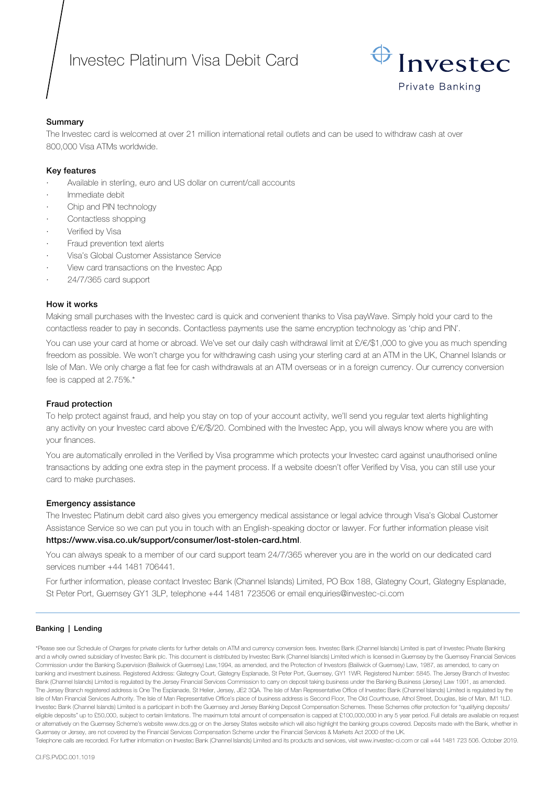# Investec Platinum Visa Debit Card



# Summary

The Investec card is welcomed at over 21 million international retail outlets and can be used to withdraw cash at over 800,000 Visa ATMs worldwide.

# Key features

- Available in sterling, euro and US dollar on current/call accounts
- Immediate debit
- Chip and PIN technology
- Contactless shopping
- Verified by Visa
- Fraud prevention text alerts
- · Visa's Global Customer Assistance Service
- View card transactions on the Investec App
- · 24/7/365 card support

# How it works

Making small purchases with the Investec card is quick and convenient thanks to Visa payWave. Simply hold your card to the contactless reader to pay in seconds. Contactless payments use the same encryption technology as 'chip and PIN'.

You can use your card at home or abroad. We've set our daily cash withdrawal limit at £/€/\$1,000 to give you as much spending freedom as possible. We won't charge you for withdrawing cash using your sterling card at an ATM in the UK, Channel Islands or Isle of Man. We only charge a flat fee for cash withdrawals at an ATM overseas or in a foreign currency. Our currency conversion fee is capped at 2.75%.\*

# Fraud protection

To help protect against fraud, and help you stay on top of your account activity, we'll send you regular text alerts highlighting any activity on your Investec card above £/€/\$/20. Combined with the Investec App, you will always know where you are with your finances.

You are automatically enrolled in the Verified by Visa programme which protects your Investec card against unauthorised online transactions by adding one extra step in the payment process. If a website doesn't offer Verified by Visa, you can still use your card to make purchases.

# Emergency assistance

The Investec Platinum debit card also gives you emergency medical assistance or legal advice through Visa's Global Customer Assistance Service so we can put you in touch with an English-speaking doctor or lawyer. For further information please visit

# <https://www.visa.co.uk/support/consumer/lost-stolen-card.html>.

You can always speak to a member of our card support team 24/7/365 wherever you are in the world on our dedicated card services number +44 1481 706441.

For further information, please contact Investec Bank (Channel Islands) Limited, PO Box 188, Glategny Court, Glategny Esplanade, St Peter Port, Guernsey GY1 3LP, telephone +44 1481 723506 or email enquiries@investec-ci.com

# Banking | Lending

\*Please see our Schedule of Charges for private clients for further details on ATM and currency conversion fees. Investec Bank (Channel Islands) Limited is part of Investec Private Banking and a wholly owned subsidiary of Investec Bank plc. This document is distributed by Investec Bank (Channel Islands) Limited which is licensed in Guernsey by the Guernsey Financial Services Commission under the Banking Supervision (Bailiwick of Guernsey) Law,1994, as amended, and the Protection of Investors (Bailiwick of Guernsey) Law, 1987, as amended, to carry on banking and investment business. Registered Address: Glategny Court, Glategny Esplanade, St Peter Port, Guernsey, GY1 1WR. Registered Number: 5845. The Jersey Branch of Investec Bank (Channel Islands) Limited is regulated by the Jersey Financial Services Commission to carry on deposit taking business under the Banking Business (Jersey) Law 1991, as amended. The Jersey Branch registered address is One The Esplanade, St Helier, Jersey, JE2 3QA. The Isle of Man Representative Office of Investec Bank (Channel Islands) Limited is regulated by the Isle of Man Financial Services Authority. The Isle of Man Representative Office's place of business address is Second Floor, The Old Courthouse, Athol Street, Douglas, Isle of Man, IM1 1LD. Investec Bank (Channel Islands) Limited is a participant in both the Guernsey and Jersey Banking Deposit Compensation Schemes. These Schemes offer protection for "qualifying deposits/ eligible deposits" up to £50,000, subject to certain limitations. The maximum total amount of compensation is capped at £100,000,000 in any 5 year period. Full details are available on request or alternatively on the Guernsey Scheme's website www.dcs.gg or on the Jersey States website which will also highlight the banking groups covered. Deposits made with the Bank, whether in Guernsey or Jersey, are not covered by the Financial Services Compensation Scheme under the Financial Services & Markets Act 2000 of the UK.

Telephone calls are recorded. For further information on Investec Bank (Channel Islands) Limited and its products and services, visit www.investec-ci.com or call +44 1481 723 506. October 2019.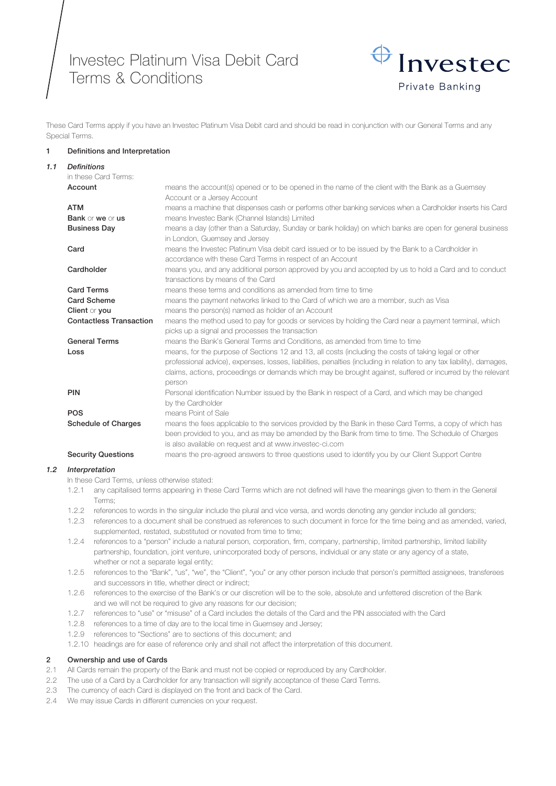Investec Platinum Visa Debit Card Terms & Conditions



These Card Terms apply if you have an Investec Platinum Visa Debit card and should be read in conjunction with our General Terms and any Special Terms.

#### 1 Definitions and Interpretation

| 1.1 | <b>Definitions</b>             |                                                                                                                       |
|-----|--------------------------------|-----------------------------------------------------------------------------------------------------------------------|
|     | in these Card Terms:           |                                                                                                                       |
|     | Account                        | means the account(s) opened or to be opened in the name of the client with the Bank as a Guernsey                     |
|     |                                | Account or a Jersey Account                                                                                           |
|     | <b>ATM</b>                     | means a machine that dispenses cash or performs other banking services when a Cardholder inserts his Card             |
|     | Bank or we or us               | means Investec Bank (Channel Islands) Limited                                                                         |
|     | <b>Business Day</b>            | means a day (other than a Saturday, Sunday or bank holiday) on which banks are open for general business              |
|     |                                | in London, Guernsey and Jersey                                                                                        |
|     | Card                           | means the Investec Platinum Visa debit card issued or to be issued by the Bank to a Cardholder in                     |
|     |                                | accordance with these Card Terms in respect of an Account                                                             |
|     | Cardholder                     | means you, and any additional person approved by you and accepted by us to hold a Card and to conduct                 |
|     |                                | transactions by means of the Card                                                                                     |
|     | <b>Card Terms</b>              | means these terms and conditions as amended from time to time                                                         |
|     | <b>Card Scheme</b>             | means the payment networks linked to the Card of which we are a member, such as Visa                                  |
|     | Client or you                  | means the person(s) named as holder of an Account                                                                     |
|     | <b>Contactless Transaction</b> | means the method used to pay for goods or services by holding the Card near a payment terminal, which                 |
|     |                                | picks up a signal and processes the transaction                                                                       |
|     | <b>General Terms</b>           | means the Bank's General Terms and Conditions, as amended from time to time                                           |
|     | Loss                           | means, for the purpose of Sections 12 and 13, all costs (including the costs of taking legal or other                 |
|     |                                | professional advice), expenses, losses, liabilities, penalties (including in relation to any tax liability), damages, |
|     |                                | claims, actions, proceedings or demands which may be brought against, suffered or incurred by the relevant            |
|     |                                | person                                                                                                                |
|     | <b>PIN</b>                     | Personal identification Number issued by the Bank in respect of a Card, and which may be changed                      |
|     |                                | by the Cardholder                                                                                                     |
|     | <b>POS</b>                     | means Point of Sale                                                                                                   |
|     | <b>Schedule of Charges</b>     | means the fees applicable to the services provided by the Bank in these Card Terms, a copy of which has               |
|     |                                | been provided to you, and as may be amended by the Bank from time to time. The Schedule of Charges                    |
|     |                                | is also available on request and at www.investec-ci.com                                                               |
|     | <b>Security Questions</b>      | means the pre-agreed answers to three questions used to identify you by our Client Support Centre                     |
|     |                                |                                                                                                                       |

#### *1.2 Interpretation*

In these Card Terms, unless otherwise stated:

- 1.2.1 any capitalised terms appearing in these Card Terms which are not defined will have the meanings given to them in the General Terms;
- 1.2.2 references to words in the singular include the plural and vice versa, and words denoting any gender include all genders;
- 1.2.3 references to a document shall be construed as references to such document in force for the time being and as amended, varied, supplemented, restated, substituted or novated from time to time;
- 1.2.4 references to a "person" include a natural person, corporation, firm, company, partnership, limited partnership, limited liability partnership, foundation, joint venture, unincorporated body of persons, individual or any state or any agency of a state, whether or not a separate legal entity;
- 1.2.5 references to the "Bank", "us", "we", the "Client", "you" or any other person include that person's permitted assignees, transferees and successors in title, whether direct or indirect;
- 1.2.6 references to the exercise of the Bank's or our discretion will be to the sole, absolute and unfettered discretion of the Bank and we will not be required to give any reasons for our decision;
- 1.2.7 references to "use" or "misuse" of a Card includes the details of the Card and the PIN associated with the Card
- 1.2.8 references to a time of day are to the local time in Guernsey and Jersey;
- 1.2.9 references to "Sections" are to sections of this document; and
- 1.2.10 headings are for ease of reference only and shall not affect the interpretation of this document.

# 2 Ownership and use of Cards

- 2.1 All Cards remain the property of the Bank and must not be copied or reproduced by any Cardholder.
- 2.2 The use of a Card by a Cardholder for any transaction will signify acceptance of these Card Terms.
- 2.3 The currency of each Card is displayed on the front and back of the Card.
- 2.4 We may issue Cards in different currencies on your request.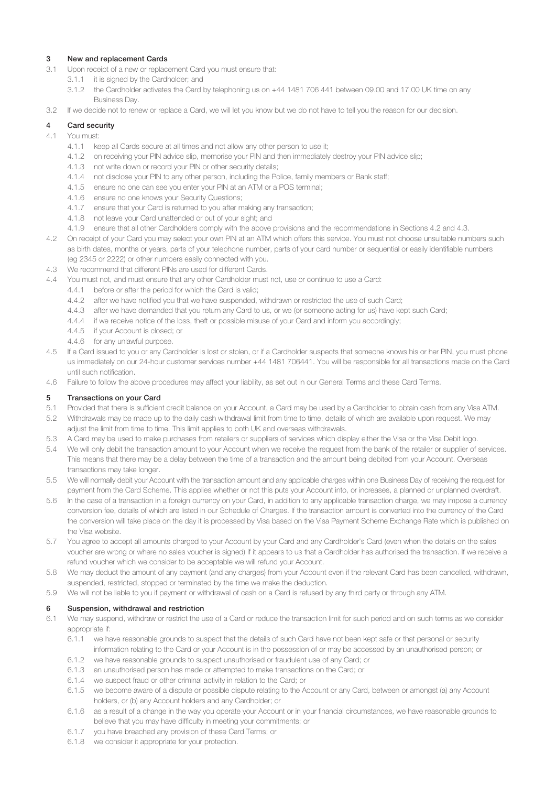# 3 New and replacement Cards

- 3.1 Upon receipt of a new or replacement Card you must ensure that:
	- 3.1.1 it is signed by the Cardholder; and
	- 3.1.2 the Cardholder activates the Card by telephoning us on +44 1481 706 441 between 09.00 and 17.00 UK time on any Business Day.

3.2 If we decide not to renew or replace a Card, we will let you know but we do not have to tell you the reason for our decision.

## 4 Card security

- 4.1 You must:
	- 4.1.1 keep all Cards secure at all times and not allow any other person to use it;
	- 4.1.2 on receiving your PIN advice slip, memorise your PIN and then immediately destroy your PIN advice slip;
	- 4.1.3 not write down or record your PIN or other security details;
	- 4.1.4 not disclose your PIN to any other person, including the Police, family members or Bank staff;
	- 4.1.5 ensure no one can see you enter your PIN at an ATM or a POS terminal;
	- 4.1.6 ensure no one knows your Security Questions;
	- 4.1.7 ensure that your Card is returned to you after making any transaction;
	- 4.1.8 not leave your Card unattended or out of your sight; and
	- 4.1.9 ensure that all other Cardholders comply with the above provisions and the recommendations in Sections 4.2 and 4.3.
- 4.2 On receipt of your Card you may select your own PIN at an ATM which offers this service. You must not choose unsuitable numbers such as birth dates, months or years, parts of your telephone number, parts of your card number or sequential or easily identifiable numbers (eg 2345 or 2222) or other numbers easily connected with you.
- 4.3 We recommend that different PINs are used for different Cards.
- 4.4 You must not, and must ensure that any other Cardholder must not, use or continue to use a Card:
	- 4.4.1 before or after the period for which the Card is valid;
	- 4.4.2 after we have notified you that we have suspended, withdrawn or restricted the use of such Card;
	- 4.4.3 after we have demanded that you return any Card to us, or we (or someone acting for us) have kept such Card;
	- 4.4.4 if we receive notice of the loss, theft or possible misuse of your Card and inform you accordingly;
	- 4.4.5 if your Account is closed; or
	- 4.4.6 for any unlawful purpose.
- 4.5 If a Card issued to you or any Cardholder is lost or stolen, or if a Cardholder suspects that someone knows his or her PIN, you must phone us immediately on our 24-hour customer services number +44 1481 706441. You will be responsible for all transactions made on the Card until such notification.
- 4.6 Failure to follow the above procedures may affect your liability, as set out in our General Terms and these Card Terms.

#### 5 Transactions on your Card

- 5.1 Provided that there is sufficient credit balance on your Account, a Card may be used by a Cardholder to obtain cash from any Visa ATM.
- 5.2 Withdrawals may be made up to the daily cash withdrawal limit from time to time, details of which are available upon request. We may adjust the limit from time to time. This limit applies to both UK and overseas withdrawals.
- 5.3 A Card may be used to make purchases from retailers or suppliers of services which display either the Visa or the Visa Debit logo.
- 5.4 We will only debit the transaction amount to your Account when we receive the request from the bank of the retailer or supplier of services. This means that there may be a delay between the time of a transaction and the amount being debited from your Account. Overseas transactions may take longer.
- 5.5 We will normally debit your Account with the transaction amount and any applicable charges within one Business Day of receiving the request for payment from the Card Scheme. This applies whether or not this puts your Account into, or increases, a planned or unplanned overdraft.
- 5.6 In the case of a transaction in a foreign currency on your Card, in addition to any applicable transaction charge, we may impose a currency conversion fee, details of which are listed in our Schedule of Charges. If the transaction amount is converted into the currency of the Card the conversion will take place on the day it is processed by Visa based on the Visa Payment Scheme Exchange Rate which is published on the Visa website.
- 5.7 You agree to accept all amounts charged to your Account by your Card and any Cardholder's Card (even when the details on the sales voucher are wrong or where no sales voucher is signed) if it appears to us that a Cardholder has authorised the transaction. If we receive a refund voucher which we consider to be acceptable we will refund your Account.
- 5.8 We may deduct the amount of any payment (and any charges) from your Account even if the relevant Card has been cancelled, withdrawn, suspended, restricted, stopped or terminated by the time we make the deduction.
- 5.9 We will not be liable to you if payment or withdrawal of cash on a Card is refused by any third party or through any ATM.

#### 6 Suspension, withdrawal and restriction

- 6.1 We may suspend, withdraw or restrict the use of a Card or reduce the transaction limit for such period and on such terms as we consider appropriate if:
	- 6.1.1 we have reasonable grounds to suspect that the details of such Card have not been kept safe or that personal or security information relating to the Card or your Account is in the possession of or may be accessed by an unauthorised person; or
	- 6.1.2 we have reasonable grounds to suspect unauthorised or fraudulent use of any Card; or
	- 6.1.3 an unauthorised person has made or attempted to make transactions on the Card; or
	- 6.1.4 we suspect fraud or other criminal activity in relation to the Card; or
	- 6.1.5 we become aware of a dispute or possible dispute relating to the Account or any Card, between or amongst (a) any Account holders, or (b) any Account holders and any Cardholder; or
	- 6.1.6 as a result of a change in the way you operate your Account or in your financial circumstances, we have reasonable grounds to believe that you may have difficulty in meeting your commitments; or
	- 6.1.7 you have breached any provision of these Card Terms; or
	- 6.1.8 we consider it appropriate for your protection.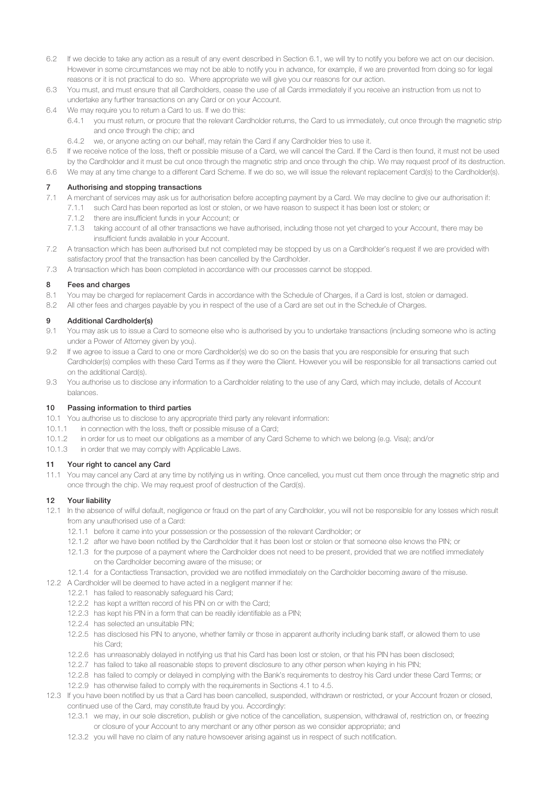- 6.2 If we decide to take any action as a result of any event described in Section 6.1, we will try to notify you before we act on our decision. However in some circumstances we may not be able to notify you in advance, for example, if we are prevented from doing so for legal reasons or it is not practical to do so. Where appropriate we will give you our reasons for our action.
- 6.3 You must, and must ensure that all Cardholders, cease the use of all Cards immediately if you receive an instruction from us not to undertake any further transactions on any Card or on your Account.
- 6.4 We may require you to return a Card to us. If we do this:
	- 6.4.1 you must return, or procure that the relevant Cardholder returns, the Card to us immediately, cut once through the magnetic strip and once through the chip; and
	- 6.4.2 we, or anyone acting on our behalf, may retain the Card if any Cardholder tries to use it.
- 6.5 If we receive notice of the loss, theft or possible misuse of a Card, we will cancel the Card. If the Card is then found, it must not be used by the Cardholder and it must be cut once through the magnetic strip and once through the chip. We may request proof of its destruction.
- 6.6 We may at any time change to a different Card Scheme. If we do so, we will issue the relevant replacement Card(s) to the Cardholder(s).

## 7 Authorising and stopping transactions

- 7.1 A merchant of services may ask us for authorisation before accepting payment by a Card. We may decline to give our authorisation if:
- 7.1.1 such Card has been reported as lost or stolen, or we have reason to suspect it has been lost or stolen; or
	- 7.1.2 there are insufficient funds in your Account; or
	- 7.1.3 taking account of all other transactions we have authorised, including those not yet charged to your Account, there may be insufficient funds available in your Account.
- 7.2 A transaction which has been authorised but not completed may be stopped by us on a Cardholder's request if we are provided with satisfactory proof that the transaction has been cancelled by the Cardholder.
- 7.3 A transaction which has been completed in accordance with our processes cannot be stopped.

# 8 Fees and charges

- 8.1 You may be charged for replacement Cards in accordance with the Schedule of Charges, if a Card is lost, stolen or damaged.
- 8.2 All other fees and charges payable by you in respect of the use of a Card are set out in the Schedule of Charges.

# 9 Additional Cardholder(s)

- 9.1 You may ask us to issue a Card to someone else who is authorised by you to undertake transactions (including someone who is acting under a Power of Attorney given by you).
- 9.2 If we agree to issue a Card to one or more Cardholder(s) we do so on the basis that you are responsible for ensuring that such Cardholder(s) complies with these Card Terms as if they were the Client. However you will be responsible for all transactions carried out on the additional Card(s).
- 9.3 You authorise us to disclose any information to a Cardholder relating to the use of any Card, which may include, details of Account balances.

#### 10 Passing information to third parties

- 10.1 You authorise us to disclose to any appropriate third party any relevant information:
- 10.1.1 in connection with the loss, theft or possible misuse of a Card;
- 10.1.2 in order for us to meet our obligations as a member of any Card Scheme to which we belong (e.g. Visa); and/or
- 10.1.3 in order that we may comply with Applicable Laws.

# 11 Your right to cancel any Card

11.1 You may cancel any Card at any time by notifying us in writing. Once cancelled, you must cut them once through the magnetic strip and once through the chip. We may request proof of destruction of the Card(s).

# 12 Your liability

- 12.1 In the absence of wilful default, negligence or fraud on the part of any Cardholder, you will not be responsible for any losses which result from any unauthorised use of a Card:
	- 12.1.1 before it came into your possession or the possession of the relevant Cardholder; or
	- 12.1.2 after we have been notified by the Cardholder that it has been lost or stolen or that someone else knows the PIN; or
	- 12.1.3 for the purpose of a payment where the Cardholder does not need to be present, provided that we are notified immediately on the Cardholder becoming aware of the misuse; or
	- 12.1.4 for a Contactless Transaction, provided we are notified immediately on the Cardholder becoming aware of the misuse.
- 12.2 A Cardholder will be deemed to have acted in a negligent manner if he:
	- 12.2.1 has failed to reasonably safeguard his Card;
	- 12.2.2 has kept a written record of his PIN on or with the Card;
	- 12.2.3 has kept his PIN in a form that can be readily identifiable as a PIN;
	- 12.2.4 has selected an unsuitable PIN;
	- 12.2.5 has disclosed his PIN to anyone, whether family or those in apparent authority including bank staff, or allowed them to use his Card;
	- 12.2.6 has unreasonably delayed in notifying us that his Card has been lost or stolen, or that his PIN has been disclosed;
	- 12.2.7 has failed to take all reasonable steps to prevent disclosure to any other person when keying in his PIN;
	- 12.2.8 has failed to comply or delayed in complying with the Bank's requirements to destroy his Card under these Card Terms; or
	- 12.2.9 has otherwise failed to comply with the requirements in Sections 4.1 to 4.5.
- 12.3 If you have been notified by us that a Card has been cancelled, suspended, withdrawn or restricted, or your Account frozen or closed, continued use of the Card, may constitute fraud by you. Accordingly:
	- 12.3.1 we may, in our sole discretion, publish or give notice of the cancellation, suspension, withdrawal of, restriction on, or freezing or closure of your Account to any merchant or any other person as we consider appropriate; and
	- 12.3.2 you will have no claim of any nature howsoever arising against us in respect of such notification.